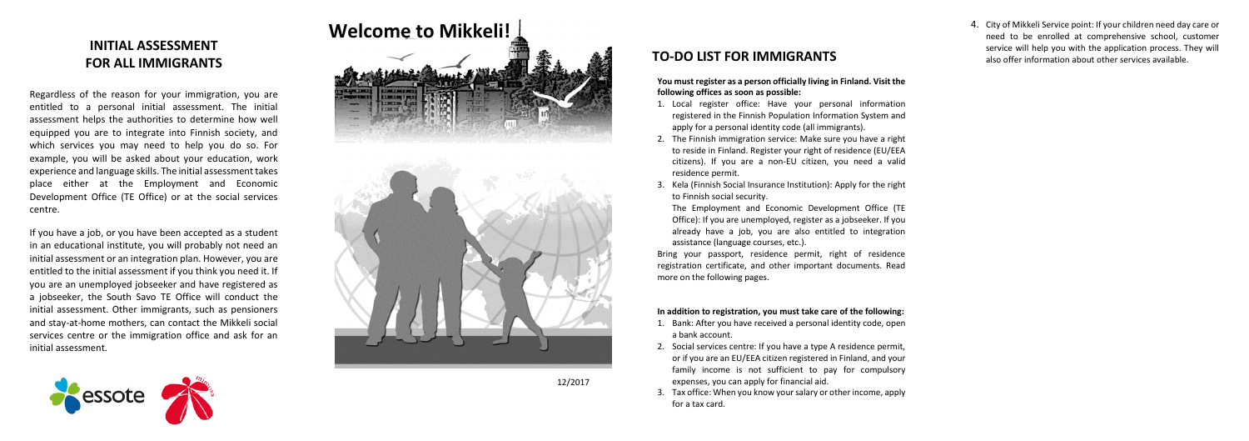12/2017

# **INITIAL ASSESSMENT FOR ALL IMMIGRANTS**

Regardless of the reason for your immigration, you are entitled to a personal initial assessment. The initial assessment helps the authorities to determine how well equipped you are to integrate into Finnish society, and which services you may need to help you do so. For example, you will be asked about your education, work experience and language skills. The initial assessment takes place either at the Employment and Economic Development Office (TE Office) or at the social services centre.

If you have a job, or you have been accepted as a student in an educational institute, you will probably not need an initial assessment or an integration plan. However, you are entitled to the initial assessment if you think you need it. If you are an unemployed jobseeker and have registered as a jobseeker, the South Savo TE Office will conduct the initial assessment. Other immigrants, such as pensioners and stay-at-home mothers, can contact the Mikkeli social services centre or the immigration office and ask for an initial assessment.



# **Welcome to Mikkeli!**



# **TO-DO LIST FOR IMMIGRANTS**

**You must register as a person officially living in Finland. Visit the following offices as soon as possible:**

- 1. Local register office: Have your personal information registered in the Finnish Population Information System and apply for a personal identity code (all immigrants).
- 2. The Finnish immigration service: Make sure you have a right to reside in Finland. Register your right of residence (EU/EEA citizens). If you are a non-EU citizen, you need a valid residence permit.
- 3. Kela (Finnish Social Insurance Institution): Apply for the right to Finnish social security.

The Employment and Economic Development Office (TE Office): If you are unemployed, register as a jobseeker. If you already have a job, you are also entitled to integration assistance (language courses, etc.).

Bring your passport, residence permit, right of residence registration certificate, and other important documents. Read more on the following pages.

#### **In addition to registration, you must take care of the following:**

- 1. Bank: After you have received a personal identity code, open a bank account.
- 2. Social services centre: If you have a type A residence permit, or if you are an EU/EEA citizen registered in Finland, and your family income is not sufficient to pay for compulsory expenses, you can apply for financial aid.
- 3. Tax office: When you know your salary or other income, apply for a tax card.

4. City of Mikkeli Service point: If your children need day care or need to be enrolled at comprehensive school, customer service will help you with the application process. They will also offer information about other services available.